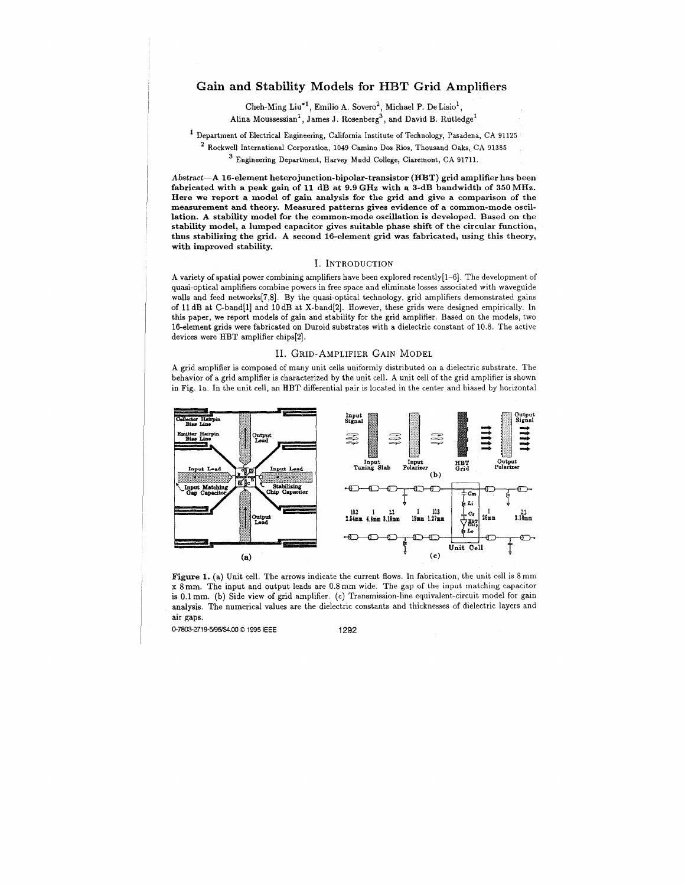# Gain and **Stability Models** for HBT Grid Amplifiers

Cheh-Ming Liu\*', Emilio A. Sovero2, Michael P. De Lisio', Alina Moussessian<sup>1</sup>, James J. Rosenberg<sup>3</sup>, and David B. Rutledge<sup>1</sup>

Department **of** Electrical Engineering, California Institute **of** Technology, Pasadena, CA 91125

Rockwell International Corporation, 1049 Camino Dos Rios, Thousand Oaks, **CA** 91385 Engineering Department, Harvey Mudd College, Claremont, CA 91711.

Abstract-A 16-element **heterojunction-bipolar-transistor** (HBT) grid amplifier has been fabricated with a peak gain **of** 11 dB at **9.9** GHz with a 3-dB bandwidth of 350 **MHz.**  Here we report a model of gain analysis for the grid and give a comparison of the measurement and theory. Measured patterns gives evidence of a common-mode oscillation. A stability model for the common-mode oscillation is developed. Based on the stability model, a lumped capacitor gives suitable phase shift of the circular function, thus stabilizing the grid. A second 16-element grid was fabricated, using this theory, with improved stability.

#### I. INTRODUCTION

A variety of spatial power combining amplifiers have been explored recently[l-61. The development of quasi-optical amplifiers combine powers in free space and eliminate losses associated with waveguide walls and feed networks[7,8]. By the quasi-optical technology, grid amplifiers demonstrated gains of lldB at C-band[l] and lOdB at X-band[2]. However, these grids were designed empirically. In this paper, we report models of gain and stability for the grid amplifier. Based on the models, two 16-element grids were fabricated on Duroid substrates with a dielectric constant of 10.8. The active devices were HBT amplifier chips[2].

### 11. GRID-AMPLIFIER GAIN MODEL

A grid amplifier is composed of many unit cells uniformly distributed on a dielectric substrate. The behavior of a grid amplifier is characterized by the unit cell. **A** unit cell of the grid amplifier is shown in Fig. la. In the unit cell, an HBT differential pair is located in the center and biased by horizontal



Figure 1. (a) Unit cell. The arrows indicate the current flows. In fabrication, the unit cell is 8 mm x 8mm. The input and output leads are 0.8 mm wide. The gap of the input matching capacitor is 0.1 mm. (b) Side view of grid amplifier. (c) Transmission-line equivalent-circuit model for gain analysis. The numerical values are the dielectric constants and thicknesses of dielectric layers and air gaps.

0-7803-2719-5/95/\$4.00 0 1995 IEEE 1292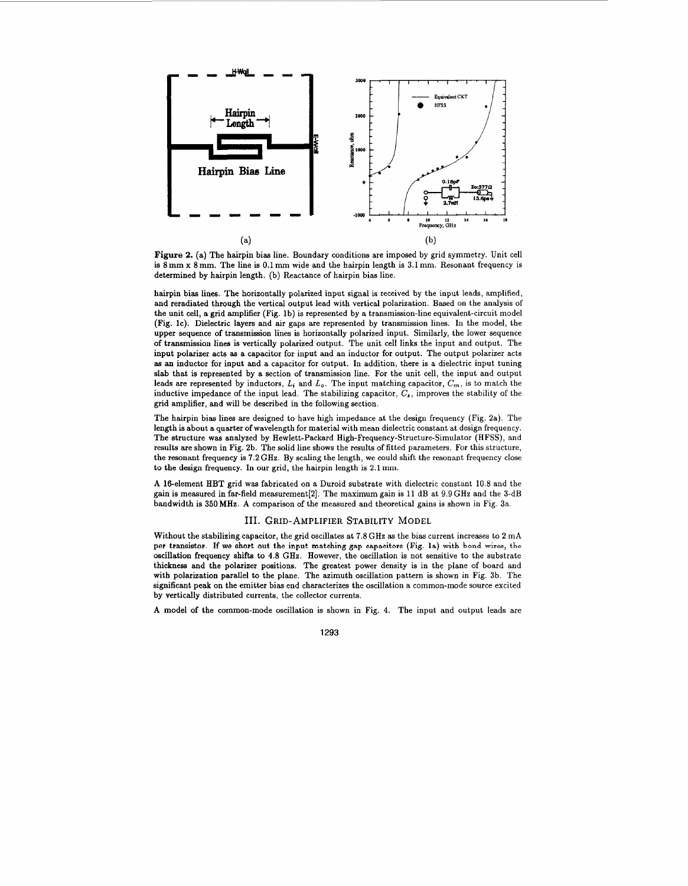

**Figure** *2.* (a) The hairpin bias line. Boundary conditions are imposed by grid symmetry. Unit cell is 8 mm x 8 mm. The line is 0.1 mm wide and the hairpin length is 3.1 mm. Resonant frequency is determined by hairpin length. (b) Reactance of hairpin bias line.

hairpin bias lines. The horizontally polarized input signal is received by the input leads, amplified, and reradiated through the vertical output lead with vertical polarization. Based on the analysis of the unit cell, a grid amplifier (Fig. lb) is represented by a transmission-line equivalent-circuit model (Fig. le). Dielectric layers and air gaps are represented by transmission lines. In the model, the upper sequence of transmission lines is horizontally polarized input. Similarly, the lower sequence of transmission linea is vertically polarized output. The unit cell links the input and output. The input polarizer acts **as** a capacitor for input and an inductor for output. The output polarizer acts **as** an inductor for input and a capacitor for output. In addition, there is a dielectric input tuning slab that is represented by a section of transmission line. For the unit cell, the input and output leads are represented by inductors,  $L_i$  and  $L_o$ . The input matching capacitor,  $C_m$ , is to match the inductive impedance of the input lead. The stabilizing capacitor, *C,,* improves the stability of the grid amplifier, and will be described in the following section.

The hairpin bias lines are designed to have high impedance at the design frequency (Fig. 2a). The length is about a quarter of wavelength for material with mean dielectric constant at design frequency. The structure was analyzed by Hewlett-Packard High-Frequency-Structure-Simulator (HFSS), and results are shown in Fig. 2b. The solid line shows the results of fitted parameters. For this structure, the resonant frequency is **7.2** GHz. By scaling the length, we could shift the resonant frequency close to the design frequency. In our grid, the hairpin length is 2.1 mm.

A 16-element HBT grid was fabricated on a Duroid substrate with dielectric constant 10.8 and the gain is measured in far-field measurement[2]. The maximum gain is 11 dB at  $9.9$  GHz and the 3-dB bandwidth is 350 MHz. **A** comparison of the measured and theoretical gains is shown in Fig. 3a.

#### 111. GRID-AMPLIFIER STABILITY MODEL

Without the stabilizing capacitor, the grid oscillates at 7.8 GHz **as** the bias current increases to 2 mA oscillation frequency shifts to **4.8** GHz. However, the oscillation is not sensitive to the substrate thickness and the polarizer positions. The greatest power density is in the plane of board and with polarization parallel to the plane. The azimuth oscillation pattern is shown in Fig. 3b. The significant peak on the emitter bias end characterizes the oscillation a common-mode source excited by vertically distributed currents, the collector currents. per **transistor If we ehort aut the input matching gap capacitors (Fig la) with bond wires, the** 

**A** model of the common-mode oscillation is shown in [Fig.](#page-2-0) **4.** The input and output leads are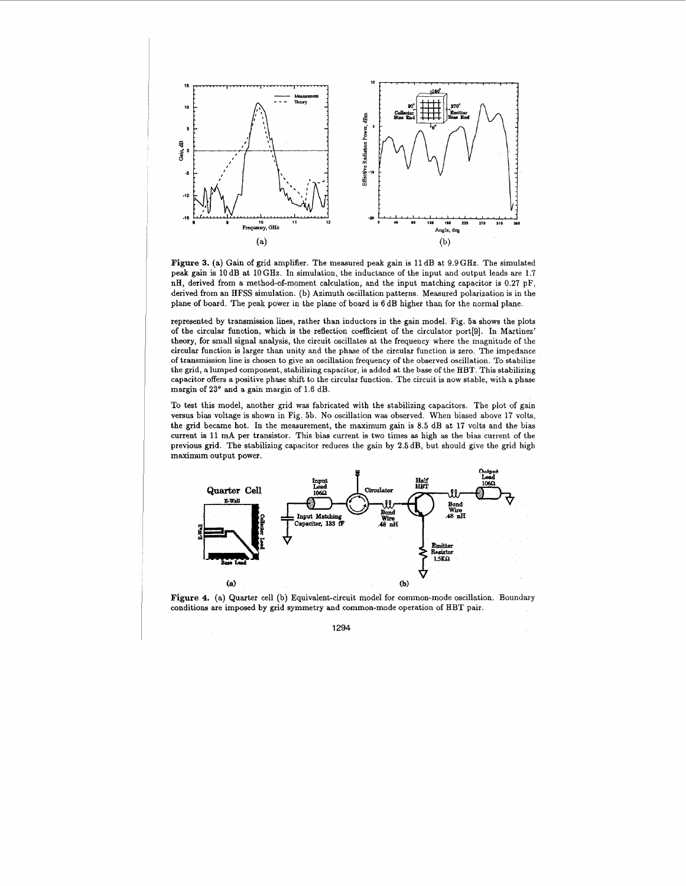<span id="page-2-0"></span>

Figure 3. (a) Gain of grid amplifier. The measured peak gain is 11 dB at 9.9 GHz. The simulated peak gain is 10 dB at 10 GHz. In simulation, the inductance of the input and output leads are 1.7 nH, derived from a method-of-moment calculation, and the input matching capacitor is **0.27** pF, derived from an HFSS simulation. (b) Azimuth oscillation patterns. Measured polarization is in the plane of board. The peak power in the plane of board is 6 dB higher than for the normal plane.

represented by transmission lines, rather than inductors in the gain model. Fig. 5a shows the plots of the circular function, which is the reflection coefficient of the circulator port[9]. In Martinez' theory, for small signal analysis, the circuit oscillates at the frequency where the magnitude of the circular function is larger than unity and the phase of the circular function is zero. The impedance of transmission line is chosen to give an oscillation frequency of the observed oscillation. To stabilize the grid, a lumped component, stabilizing capacitor, is added at the base of the HBT. This stabilizing capacitor offers a positive phase shift to the circular function. The circuit **is** now stable, with a phase margin of **23'** and a gain margin of **1.6** dB

To test this model, another grid was fabricated with the stabilizing capacitors. The plot of gain versus bias voltage is shown in Fig. 5b. No oscillation was observed. When biased above **17** volts, the grid became hot. In the measurement, the maximum gain is 8.5 dB at **17** volts and the bias current is 11 mA per transistor. This bias current is two times as high as the bias current of the previous grid. The stabilizing capacitor reduces the gain by **2.5** dB, but should give the grid high maximum output power.



**Figure 4.** (a) Quarter cell (b) Equivalent-circuit model for common-mode oscillation. Boundary conditions are imposed by grid symmetry and common-mode operation of BBT pair.

**1294**